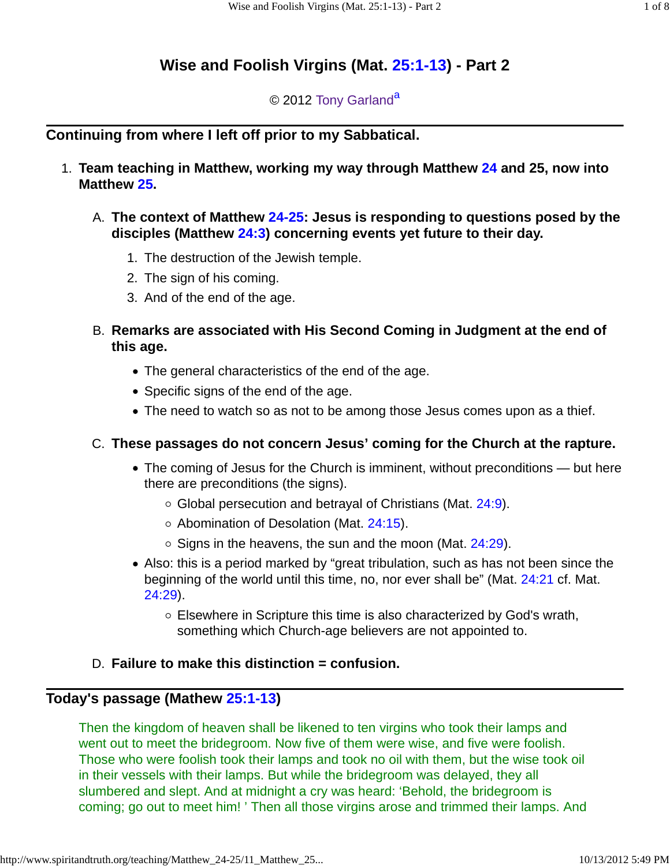# **Wise and Foolish Virgins (Mat. 25:1-13) - Part 2**

# © 2012 Tony Garland<sup>a</sup>

# **Continuing from where I left off prior to my Sabbatical.**

- **Team teaching in Matthew, working my way through Matthew 24 and 25, now into** 1. **Matthew 25.**
	- **The context of Matthew 24-25: Jesus is responding to questions posed by the** A. **disciples (Matthew 24:3) concerning events yet future to their day.**
		- 1. The destruction of the Jewish temple.
		- 2. The sign of his coming.
		- 3. And of the end of the age.
	- **Remarks are associated with His Second Coming in Judgment at the end of** B. **this age.**
		- The general characteristics of the end of the age.
		- Specific signs of the end of the age.
		- The need to watch so as not to be among those Jesus comes upon as a thief.

# **These passages do not concern Jesus' coming for the Church at the rapture.** C.

- The coming of Jesus for the Church is imminent, without preconditions but here there are preconditions (the signs).
	- $\circ$  Global persecution and betrayal of Christians (Mat. 24:9).
	- $\circ$  Abomination of Desolation (Mat. 24:15).
	- $\circ$  Signs in the heavens, the sun and the moon (Mat. 24:29).
- Also: this is a period marked by "great tribulation, such as has not been since the beginning of the world until this time, no, nor ever shall be" (Mat. 24:21 cf. Mat. 24:29).
	- Elsewhere in Scripture this time is also characterized by God's wrath, something which Church-age believers are not appointed to.

# D. **Failure to make this distinction = confusion.**

# **Today's passage (Mathew 25:1-13)**

Then the kingdom of heaven shall be likened to ten virgins who took their lamps and went out to meet the bridegroom. Now five of them were wise, and five were foolish. Those who were foolish took their lamps and took no oil with them, but the wise took oil in their vessels with their lamps. But while the bridegroom was delayed, they all slumbered and slept. And at midnight a cry was heard: 'Behold, the bridegroom is coming; go out to meet him! ' Then all those virgins arose and trimmed their lamps. And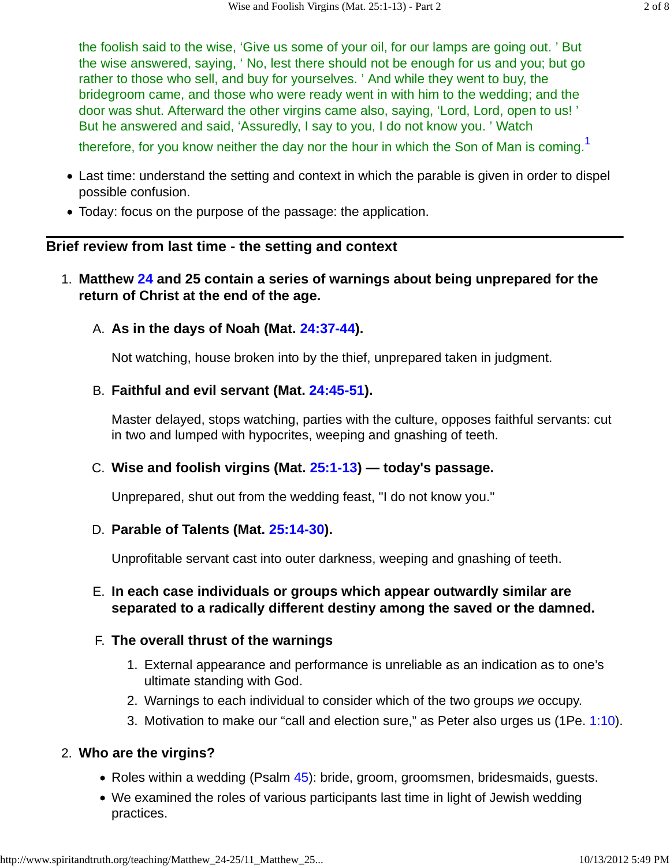the foolish said to the wise, 'Give us some of your oil, for our lamps are going out. ' But the wise answered, saying, ' No, lest there should not be enough for us and you; but go rather to those who sell, and buy for yourselves. ' And while they went to buy, the bridegroom came, and those who were ready went in with him to the wedding; and the door was shut. Afterward the other virgins came also, saying, 'Lord, Lord, open to us! ' But he answered and said, 'Assuredly, I say to you, I do not know you. ' Watch

therefore, for you know neither the day nor the hour in which the Son of Man is coming.<sup>1</sup>

- Last time: understand the setting and context in which the parable is given in order to dispel possible confusion.
- Today: focus on the purpose of the passage: the application.

## **Brief review from last time - the setting and context**

- **Matthew 24 and 25 contain a series of warnings about being unprepared for the** 1. **return of Christ at the end of the age.**
	- A. As in the days of Noah (Mat. 24:37-44).

Not watching, house broken into by the thief, unprepared taken in judgment.

## **Faithful and evil servant (Mat. 24:45-51).** B.

Master delayed, stops watching, parties with the culture, opposes faithful servants: cut in two and lumped with hypocrites, weeping and gnashing of teeth.

# **Wise and foolish virgins (Mat. 25:1-13) — today's passage.** C.

Unprepared, shut out from the wedding feast, "I do not know you."

### **Parable of Talents (Mat. 25:14-30).** D.

Unprofitable servant cast into outer darkness, weeping and gnashing of teeth.

### **In each case individuals or groups which appear outwardly similar are** E. **separated to a radically different destiny among the saved or the damned.**

### **The overall thrust of the warnings** F.

- External appearance and performance is unreliable as an indication as to one's 1. ultimate standing with God.
- 2. Warnings to each individual to consider which of the two groups we occupy.
- 3. Motivation to make our "call and election sure," as Peter also urges us (1Pe. 1:10).

# **Who are the virgins?** 2.

- Roles within a wedding (Psalm 45): bride, groom, groomsmen, bridesmaids, guests.
- We examined the roles of various participants last time in light of Jewish wedding practices.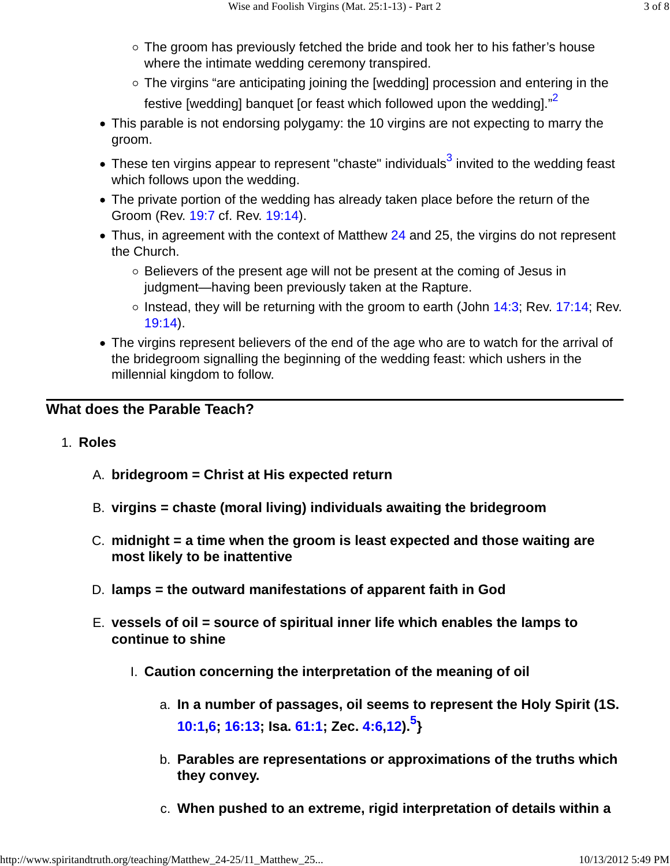- $\circ$  The groom has previously fetched the bride and took her to his father's house where the intimate wedding ceremony transpired.
- The virgins "are anticipating joining the [wedding] procession and entering in the festive [wedding] banquet [or feast which followed upon the wedding]."<sup>2</sup>
- This parable is not endorsing polygamy: the 10 virgins are not expecting to marry the groom.
- These ten virgins appear to represent "chaste" individuals $^3$  invited to the wedding feast which follows upon the wedding.
- The private portion of the wedding has already taken place before the return of the Groom (Rev. 19:7 cf. Rev. 19:14).
- Thus, in agreement with the context of Matthew 24 and 25, the virgins do not represent the Church.
	- $\circ$  Believers of the present age will not be present at the coming of Jesus in judgment—having been previously taken at the Rapture.
	- $\circ$  Instead, they will be returning with the groom to earth (John 14:3; Rev. 17:14; Rev. 19:14).
- The virgins represent believers of the end of the age who are to watch for the arrival of the bridegroom signalling the beginning of the wedding feast: which ushers in the millennial kingdom to follow.

# **What does the Parable Teach?**

- 1. **Roles**
	- A. **bridegroom = Christ at His expected return**
	- B. **virgins = chaste (moral living) individuals awaiting the bridegroom**
	- **midnight = a time when the groom is least expected and those waiting are** C. **most likely to be inattentive**
	- D. **lamps = the outward manifestations of apparent faith in God**
	- **vessels of oil = source of spiritual inner life which enables the lamps to** E. **continue to shine**
		- I. **Caution concerning the interpretation of the meaning of oil**
			- **In a number of passages, oil seems to represent the Holy Spirit (1S.** a. **10:1,6; 16:13; Isa. 61:1; Zec. 4:6,12).<sup>5</sup> }**
			- **Parables are representations or approximations of the truths which** b. **they convey.**
			- c. **When pushed to an extreme, rigid interpretation of details within a**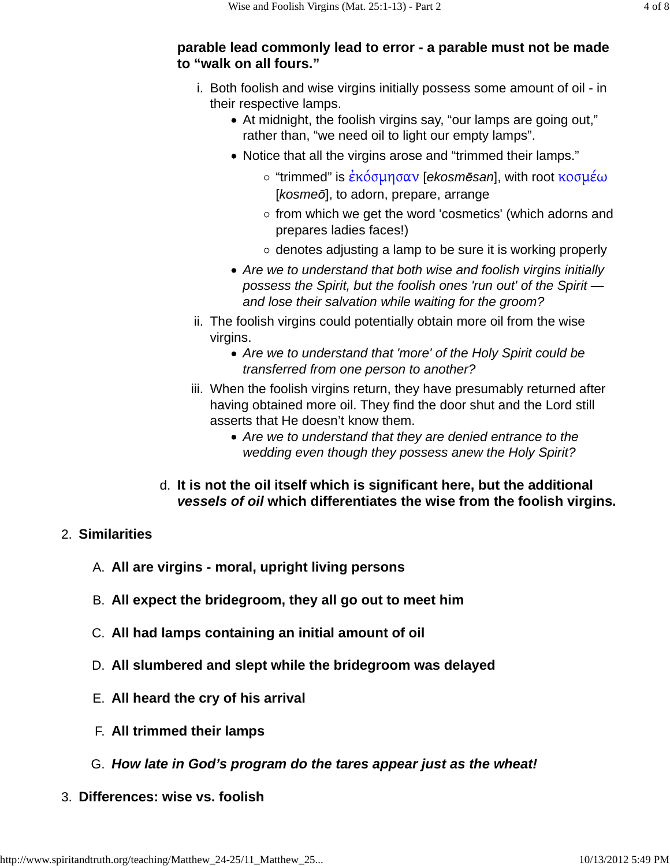#### **parable lead commonly lead to error - a parable must not be made to "walk on all fours."**

- i. Both foolish and wise virgins initially possess some amount of oil in their respective lamps.
	- At midnight, the foolish virgins say, "our lamps are going out," rather than, "we need oil to light our empty lamps".
	- Notice that all the virgins arose and "trimmed their lamps."
		- $\circ$  "trimmed" is έκόσμησαν [ekosmēsan], with root κοσμέω [kosmeō], to adorn, prepare, arrange
		- $\circ$  from which we get the word 'cosmetics' (which adorns and prepares ladies faces!)
		- $\circ$  denotes adjusting a lamp to be sure it is working properly
	- Are we to understand that both wise and foolish virgins initially possess the Spirit, but the foolish ones 'run out' of the Spirit and lose their salvation while waiting for the groom?
- ii. The foolish virgins could potentially obtain more oil from the wise virgins.
	- Are we to understand that 'more' of the Holy Spirit could be transferred from one person to another?
- iii. When the foolish virgins return, they have presumably returned after having obtained more oil. They find the door shut and the Lord still asserts that He doesn't know them.
	- Are we to understand that they are denied entrance to the wedding even though they possess anew the Holy Spirit?
- **It is not the oil itself which is significant here, but the additional** d. **vessels of oil which differentiates the wise from the foolish virgins.**

# 2. **Similarities**

- A. **All are virgins moral, upright living persons**
- B. **All expect the bridegroom, they all go out to meet him**
- C. **All had lamps containing an initial amount of oil**
- D. **All slumbered and slept while the bridegroom was delayed**
- E. **All heard the cry of his arrival**
- F. **All trimmed their lamps**
- G. **How late in God's program do the tares appear just as the wheat!**
- 3. **Differences: wise vs. foolish**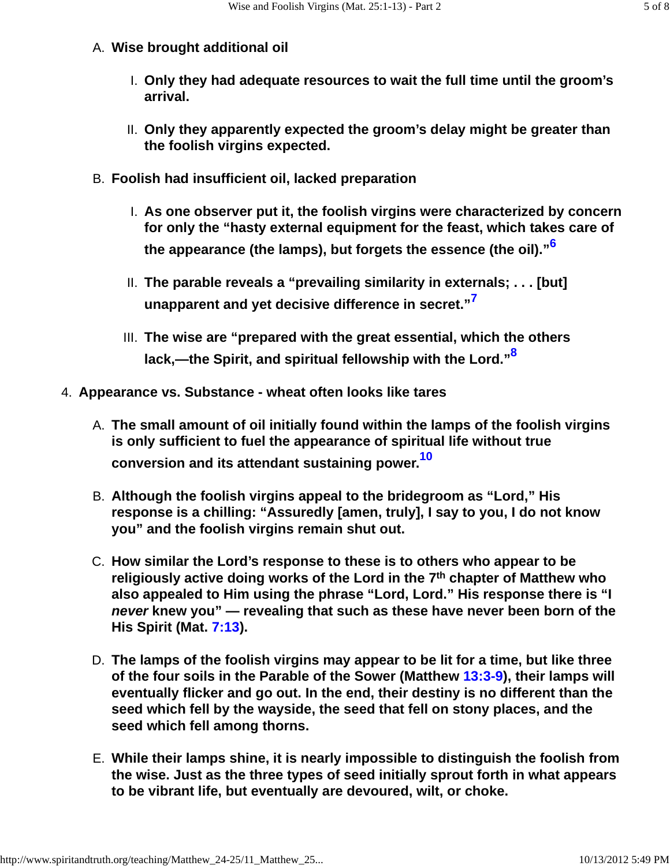## A. **Wise brought additional oil**

- **Only they had adequate resources to wait the full time until the groom's** I. **arrival.**
- **Only they apparently expected the groom's delay might be greater than** II. **the foolish virgins expected.**
- B. **Foolish had insufficient oil, lacked preparation**
	- **As one observer put it, the foolish virgins were characterized by concern** I. **for only the "hasty external equipment for the feast, which takes care of the appearance (the lamps), but forgets the essence (the oil)."<sup>6</sup>**
	- **The parable reveals a "prevailing similarity in externals; . . . [but]** II. **unapparent and yet decisive difference in secret."<sup>7</sup>**
	- **The wise are "prepared with the great essential, which the others** III. **lack,—the Spirit, and spiritual fellowship with the Lord."<sup>8</sup>**
- 4. **Appearance vs. Substance wheat often looks like tares**
	- **The small amount of oil initially found within the lamps of the foolish virgins** A. **is only sufficient to fuel the appearance of spiritual life without true conversion and its attendant sustaining power.<sup>10</sup>**
	- **Although the foolish virgins appeal to the bridegroom as "Lord," His** B. **response is a chilling: "Assuredly [amen, truly], I say to you, I do not know you" and the foolish virgins remain shut out.**
	- **How similar the Lord's response to these is to others who appear to be** C. **religiously active doing works of the Lord in the 7th chapter of Matthew who also appealed to Him using the phrase "Lord, Lord." His response there is "I never knew you" — revealing that such as these have never been born of the His Spirit (Mat. 7:13).**
	- **The lamps of the foolish virgins may appear to be lit for a time, but like three** D. **of the four soils in the Parable of the Sower (Matthew 13:3-9), their lamps will eventually flicker and go out. In the end, their destiny is no different than the seed which fell by the wayside, the seed that fell on stony places, and the seed which fell among thorns.**
	- **While their lamps shine, it is nearly impossible to distinguish the foolish from** E. **the wise. Just as the three types of seed initially sprout forth in what appears to be vibrant life, but eventually are devoured, wilt, or choke.**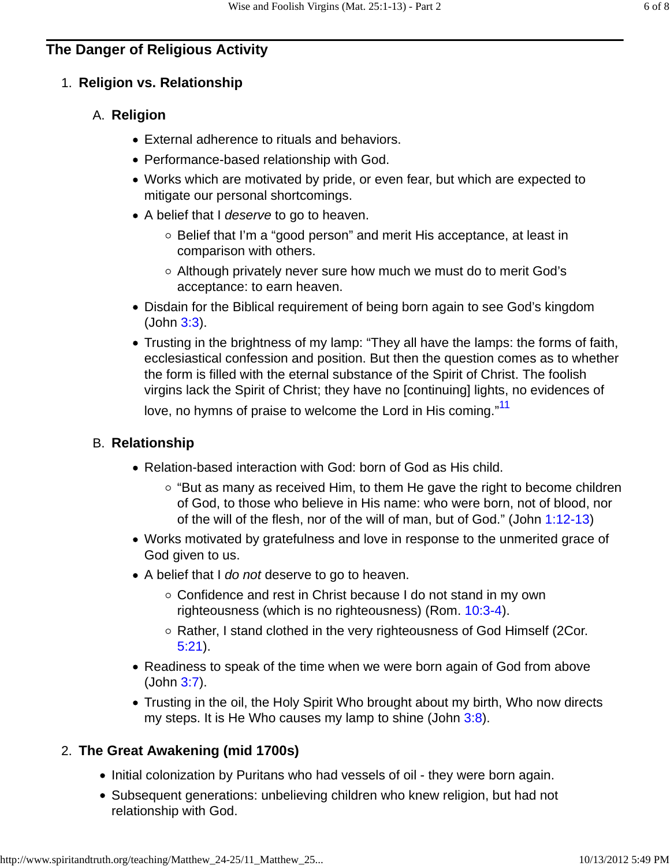#### 1. **Religion vs. Relationship**

#### **Religion** A.

- External adherence to rituals and behaviors.
- Performance-based relationship with God.
- Works which are motivated by pride, or even fear, but which are expected to mitigate our personal shortcomings.
- A belief that I deserve to go to heaven.
	- Belief that I'm a "good person" and merit His acceptance, at least in comparison with others.
	- Although privately never sure how much we must do to merit God's acceptance: to earn heaven.
- Disdain for the Biblical requirement of being born again to see God's kingdom (John 3:3).
- Trusting in the brightness of my lamp: "They all have the lamps: the forms of faith, ecclesiastical confession and position. But then the question comes as to whether the form is filled with the eternal substance of the Spirit of Christ. The foolish virgins lack the Spirit of Christ; they have no [continuing] lights, no evidences of love, no hymns of praise to welcome the Lord in His coming."<sup>11</sup>

#### **Relationship** B.

- Relation-based interaction with God: born of God as His child.
	- $\circ$  "But as many as received Him, to them He gave the right to become children of God, to those who believe in His name: who were born, not of blood, nor of the will of the flesh, nor of the will of man, but of God." (John 1:12-13)
- Works motivated by gratefulness and love in response to the unmerited grace of God given to us.
- A belief that I do not deserve to go to heaven.
	- Confidence and rest in Christ because I do not stand in my own righteousness (which is no righteousness) (Rom. 10:3-4).
	- Rather, I stand clothed in the very righteousness of God Himself (2Cor. 5:21).
- Readiness to speak of the time when we were born again of God from above (John 3:7).
- Trusting in the oil, the Holy Spirit Who brought about my birth, Who now directs my steps. It is He Who causes my lamp to shine (John 3:8).

# **The Great Awakening (mid 1700s)** 2.

- Initial colonization by Puritans who had vessels of oil they were born again.
- Subsequent generations: unbelieving children who knew religion, but had not relationship with God.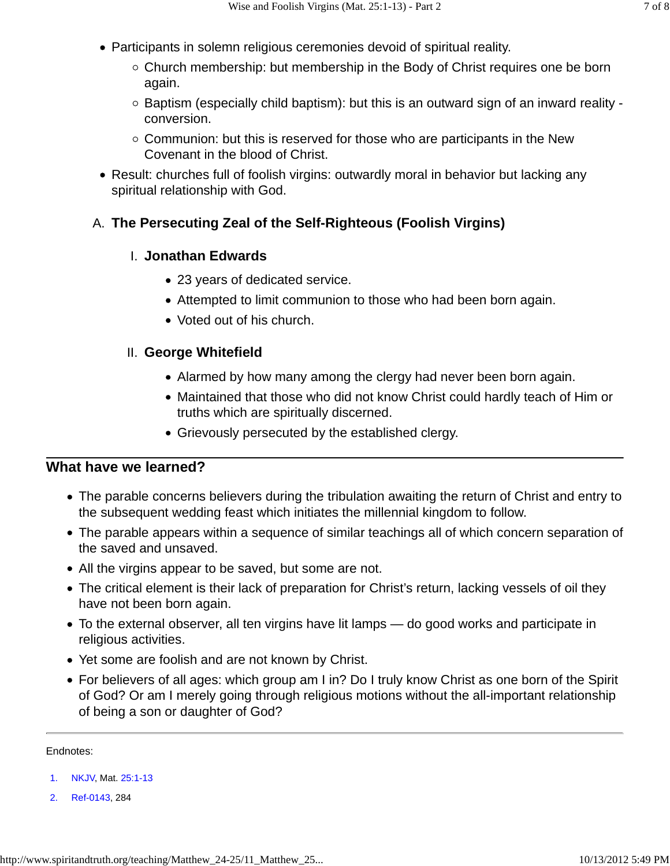- Participants in solemn religious ceremonies devoid of spiritual reality.
	- Church membership: but membership in the Body of Christ requires one be born again.
	- $\circ$  Baptism (especially child baptism): but this is an outward sign of an inward reality conversion.
	- $\circ$  Communion: but this is reserved for those who are participants in the New Covenant in the blood of Christ.
- Result: churches full of foolish virgins: outwardly moral in behavior but lacking any spiritual relationship with God.

# A. **The Persecuting Zeal of the Self-Righteous (Foolish Virgins)**

### **Jonathan Edwards** I.

- 23 years of dedicated service.
- Attempted to limit communion to those who had been born again.
- Voted out of his church.

## **George Whitefield** II.

- Alarmed by how many among the clergy had never been born again.
- Maintained that those who did not know Christ could hardly teach of Him or truths which are spiritually discerned.
- Grievously persecuted by the established clergy.

# **What have we learned?**

- The parable concerns believers during the tribulation awaiting the return of Christ and entry to the subsequent wedding feast which initiates the millennial kingdom to follow.
- The parable appears within a sequence of similar teachings all of which concern separation of the saved and unsaved.
- All the virgins appear to be saved, but some are not.
- The critical element is their lack of preparation for Christ's return, lacking vessels of oil they have not been born again.
- To the external observer, all ten virgins have lit lamps do good works and participate in religious activities.
- Yet some are foolish and are not known by Christ.
- For believers of all ages: which group am I in? Do I truly know Christ as one born of the Spirit of God? Or am I merely going through religious motions without the all-important relationship of being a son or daughter of God?

Endnotes:

- 1. NKJV, Mat. 25:1-13
- 2. Ref-0143, 284